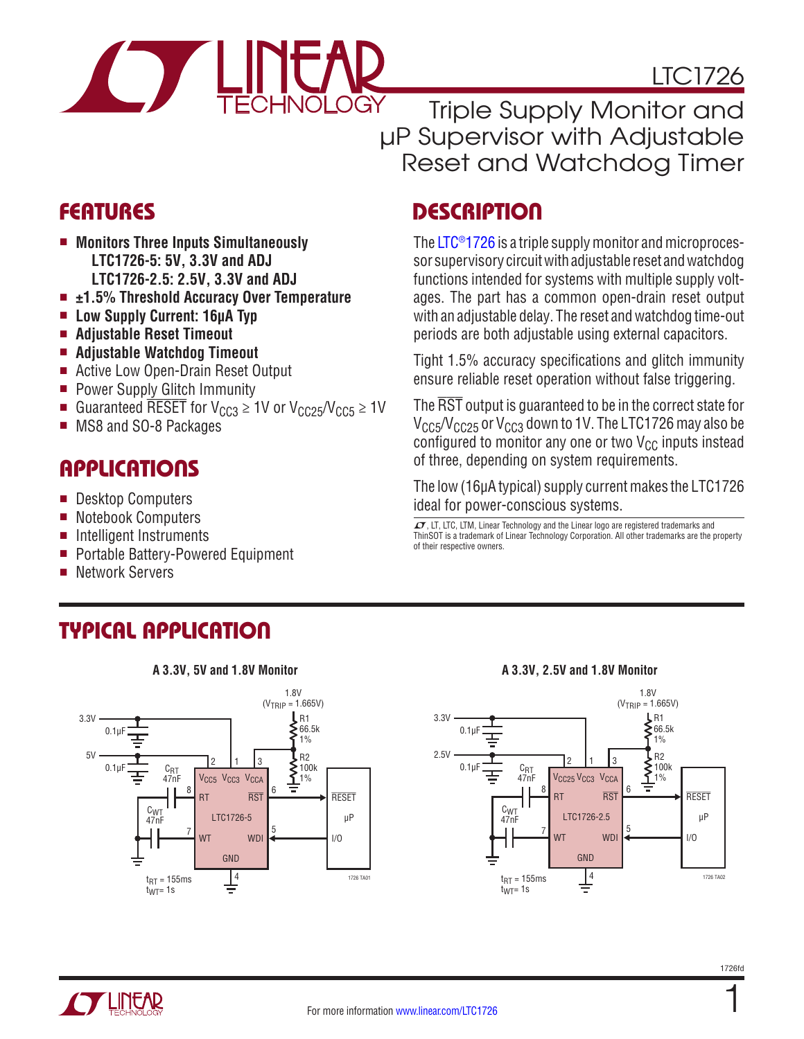

LTC1726

Triple Supply Monitor and µP Supervisor with Adjustable Reset and Watchdog Timer

- Monitors Three Inputs Simultaneously **LTC1726-5: 5V, 3.3V and ADJ LTC1726-2.5: 2.5V, 3.3V and ADJ**
- <sup>n</sup> **±1.5% Threshold Accuracy Over Temperature**
- Low Supply Current: 16µA Typ
- <sup>n</sup> **Adjustable Reset Timeout**
- Adjustable Watchdog Timeout
- Active Low Open-Drain Reset Output
- **Power Supply Glitch Immunity**
- Guaranteed RESET for  $V_{CC3} \ge 1$ V or  $V_{CC25}/V_{CC5} \ge 1$ V
- MS8 and SO-8 Packages

### **APPLICATIONS**

- **n** Desktop Computers
- Notebook Computers
- Intelligent Instruments
- Portable Battery-Powered Equipment
- **Network Servers**

## Typical Application



### Features Description

The [LTC®1726](http://www.linear.com/LTC1726) is a triple supply monitor and microprocessor supervisory circuit with adjustable reset and watchdog functions intended for systems with multiple supply voltages. The part has a common open-drain reset output with an adjustable delay. The reset and watchdog time-out periods are both adjustable using external capacitors.

Tight 1.5% accuracy specifications and glitch immunity ensure reliable reset operation without false triggering.

The RST output is guaranteed to be in the correct state for  $V_{CC5}/V_{CC25}$  or  $V_{CC3}$  down to 1V. The LTC1726 may also be configured to monitor any one or two  $V_{CC}$  inputs instead of three, depending on system requirements.

The low (16µA typical) supply current makes the LTC1726 ideal for power-conscious systems.

 $\sqrt{\mathcal{J}}$ , LT, LTC, LTM, Linear Technology and the Linear logo are registered trademarks and ThinSOT is a trademark of Linear Technology Corporation. All other trademarks are the property of their respective owners.

#### **A 3.3V, 5V and 1.8V Monitor A 3.3V, 2.5V and 1.8V Monitor**



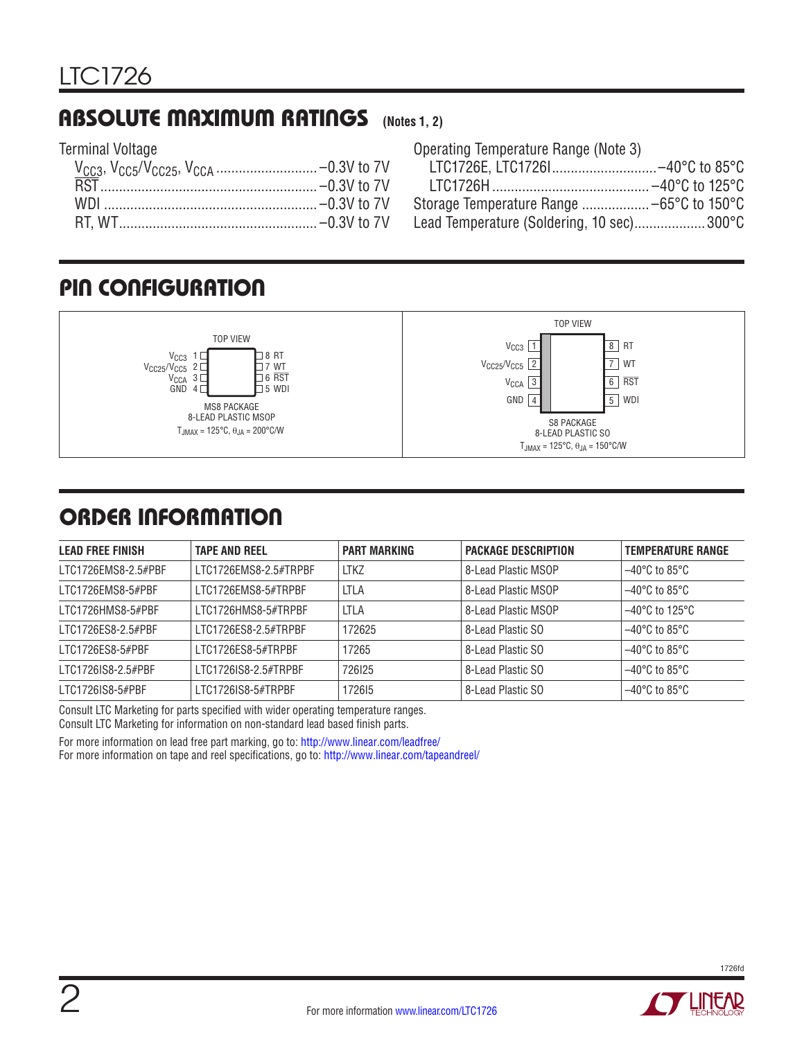### Absolute Maximum Ratings **(Notes 1, 2)**

Terminal Voltage

| Operating Temperature Range (Note 3)      |  |
|-------------------------------------------|--|
| LTC1726E, LTC17261-40°C to 85°C           |  |
|                                           |  |
|                                           |  |
| Lead Temperature (Soldering, 10 sec)300°C |  |
|                                           |  |

### Pin Configuration



### ORDER INFORMATION

| <b>LEAD FREE FINISH</b> | <b>TAPE AND REEL</b>  | <b>PART MARKING</b> | <b>PACKAGE DESCRIPTION</b> | <b>TEMPERATURE RANGE</b>            |
|-------------------------|-----------------------|---------------------|----------------------------|-------------------------------------|
| LTC1726EMS8-2.5#PBF     | LTC1726EMS8-2.5#TRPBF | <b>LTKZ</b>         | 8-Lead Plastic MSOP        | $-40^{\circ}$ C to 85 $^{\circ}$ C  |
| LTC1726EMS8-5#PBF       | LTC1726EMS8-5#TRPBF   | LTLA                | 8-Lead Plastic MSOP        | $-40^{\circ}$ C to 85 $^{\circ}$ C  |
| I TC1726HMS8-5#PRF      | ITC1726HMS8-5#TRPBF   | <b>LTLA</b>         | 8-Lead Plastic MSOP        | $-40^{\circ}$ C to 125 $^{\circ}$ C |
| LTC1726ES8-2.5#PBF      | LTC1726ES8-2.5#TRPBF  | 172625              | 8-Lead Plastic SO          | $-40^{\circ}$ C to 85 $^{\circ}$ C  |
| LTC1726ES8-5#PBF        | LTC1726ES8-5#TRPBF    | 17265               | 8-Lead Plastic SO          | $-40^{\circ}$ C to 85 $^{\circ}$ C  |
| LTC1726IS8-2.5#PBF      | LTC1726IS8-2.5#TRPBF  | 726125              | 8-Lead Plastic SO          | $-40^{\circ}$ C to 85 $^{\circ}$ C  |
| LTC1726IS8-5#PBF        | LTC1726IS8-5#TRPBF    | 172615              | 8-Lead Plastic SO          | $-40^{\circ}$ C to 85 $^{\circ}$ C  |

Consult LTC Marketing for parts specified with wider operating temperature ranges. Consult LTC Marketing for information on non-standard lead based finish parts.

For more information on lead free part marking, go to: http://www.linear.com/leadfree/ For more information on tape and reel specifications, go to: http://www.linear.com/tapeandreel/



1726fd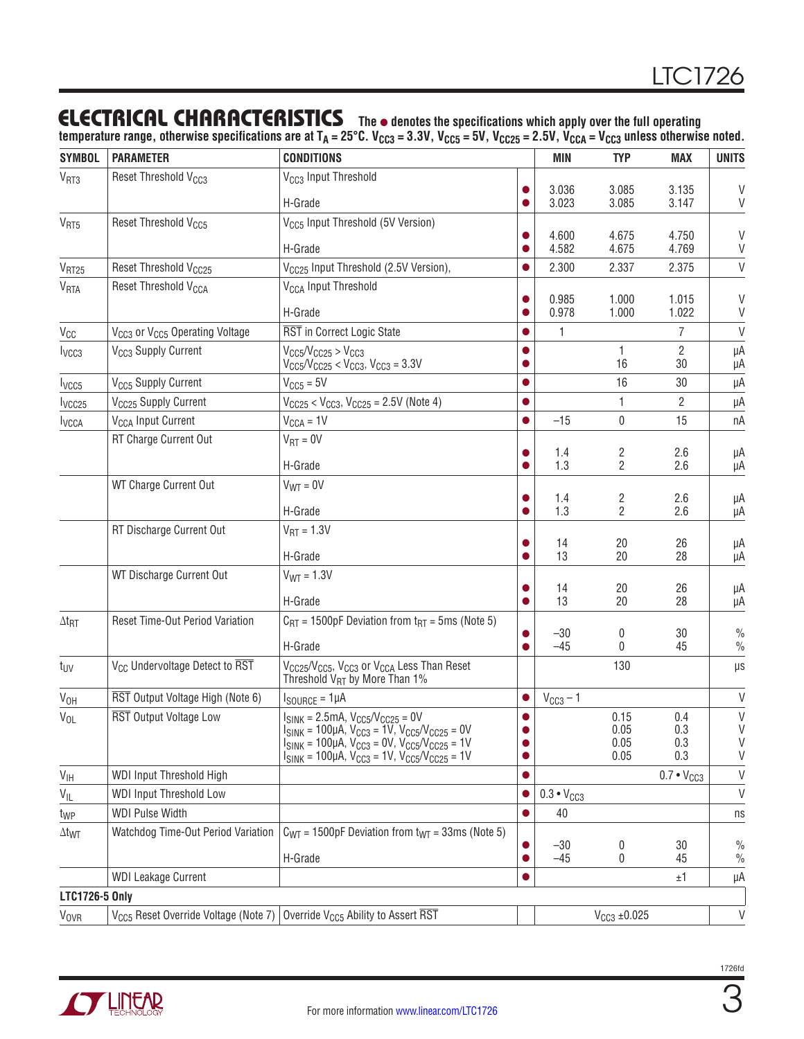### Electrical Characteristics

**The** l **denotes the specifications which apply over the full operating temperature range, otherwise specifications are at TA = 25°C. VCC3 = 3.3V, VCC5 = 5V, VCC25 = 2.5V, VCCA = VCC3 unless otherwise noted.**

| <b>SYMBOL</b>            | <b>PARAMETER</b>                                                                         | <b>CONDITIONS</b>                                                                                                                                      |           | <b>MIN</b>          | <b>TYP</b>          | <b>MAX</b>           | <b>UNITS</b>          |
|--------------------------|------------------------------------------------------------------------------------------|--------------------------------------------------------------------------------------------------------------------------------------------------------|-----------|---------------------|---------------------|----------------------|-----------------------|
| V <sub>RT3</sub>         | Reset Threshold V <sub>CC3</sub>                                                         | V <sub>CC3</sub> Input Threshold                                                                                                                       |           |                     |                     |                      |                       |
|                          |                                                                                          | H-Grade                                                                                                                                                |           | 3.036<br>3.023      | 3.085<br>3.085      | 3.135<br>3.147       | V<br>V                |
| V <sub>RT5</sub>         | Reset Threshold V <sub>CC5</sub>                                                         | V <sub>CC5</sub> Input Threshold (5V Version)                                                                                                          |           |                     |                     |                      |                       |
|                          |                                                                                          | H-Grade                                                                                                                                                |           | 4.600<br>4.582      | 4.675<br>4.675      | 4.750<br>4.769       | V<br>V                |
| V <sub>RT25</sub>        | Reset Threshold V <sub>CC25</sub>                                                        | V <sub>CC25</sub> Input Threshold (2.5V Version),                                                                                                      |           | 2.300               | 2.337               | 2.375                | $\mathsf V$           |
| V <sub>RTA</sub>         | Reset Threshold V <sub>CCA</sub>                                                         | V <sub>CCA</sub> Input Threshold                                                                                                                       |           |                     |                     |                      |                       |
|                          |                                                                                          |                                                                                                                                                        |           | 0.985               | 1.000               | 1.015                | V                     |
|                          |                                                                                          | H-Grade                                                                                                                                                |           | 0.978               | 1.000               | 1.022                | V                     |
| $V_{CC}$                 | V <sub>CC3</sub> or V <sub>CC5</sub> Operating Voltage                                   | RST in Correct Logic State                                                                                                                             |           | 1                   |                     | $\overline{7}$       | $\vee$                |
| I <sub>VCC3</sub>        | V <sub>CC3</sub> Supply Current                                                          | $V_{CC5}/V_{CC25} > V_{CC3}$<br>$V_{CC5}/V_{CC25} < V_{CC3}$ , $V_{CC3} = 3.3V$                                                                        |           |                     | 1<br>16             | $\overline{2}$<br>30 | μA<br>μA              |
| l <sub>VCC5</sub>        | V <sub>CC5</sub> Supply Current                                                          | $VCC5 = 5V$                                                                                                                                            |           |                     | 16                  | 30                   | μA                    |
| lycc <sub>25</sub>       | V <sub>CC25</sub> Supply Current                                                         | $V_{CC25}$ < $V_{CC3}$ , $V_{CC25}$ = 2.5V (Note 4)                                                                                                    | ●         |                     | 1                   | 2                    | μA                    |
| <b>I</b> <sub>VCCA</sub> | V <sub>CCA</sub> Input Current                                                           | $V_{CCA} = 1V$                                                                                                                                         | 0         | $-15$               | 0                   | 15                   | nA                    |
|                          | RT Charge Current Out                                                                    | $V_{RT} = 0V$                                                                                                                                          |           |                     |                     |                      |                       |
|                          |                                                                                          | H-Grade                                                                                                                                                |           | 1.4<br>1.3          | 2<br>2              | 2.6<br>2.6           | μA<br>μA              |
|                          | WT Charge Current Out                                                                    | $V_{WT} = 0V$                                                                                                                                          |           |                     |                     |                      |                       |
|                          |                                                                                          |                                                                                                                                                        |           | 1.4                 | 2                   | 2.6                  | μA                    |
|                          |                                                                                          | H-Grade                                                                                                                                                |           | 1.3                 | 2                   | 2.6                  | μA                    |
|                          | RT Discharge Current Out                                                                 | $V_{\text{RT}} = 1.3V$                                                                                                                                 |           | 14                  | 20                  | 26                   | μA                    |
|                          |                                                                                          | H-Grade                                                                                                                                                |           | 13                  | 20                  | 28                   | μA                    |
|                          | WT Discharge Current Out                                                                 | $V_{WT} = 1.3V$                                                                                                                                        |           |                     |                     |                      |                       |
|                          |                                                                                          | H-Grade                                                                                                                                                |           | 14<br>13            | 20<br>20            | 26<br>28             | μA<br>μA              |
| $\Delta t_{\text{RT}}$   | Reset Time-Out Period Variation                                                          | $C_{\text{RT}}$ = 1500pF Deviation from $t_{\text{RT}}$ = 5ms (Note 5)                                                                                 |           |                     |                     |                      |                       |
|                          |                                                                                          |                                                                                                                                                        |           | $-30$               | 0                   | 30                   | $\frac{0}{0}$         |
|                          |                                                                                          | H-Grade                                                                                                                                                |           | $-45$               | 0                   | 45                   | $\frac{0}{0}$         |
| t <sub>UV</sub>          | V <sub>CC</sub> Undervoltage Detect to RST                                               | V <sub>CC25</sub> /V <sub>CC5</sub> , V <sub>CC3</sub> or V <sub>CCA</sub> Less Than Reset<br>Threshold V <sub>RT</sub> by More Than 1%                |           |                     | 130                 |                      | μs                    |
| V <sub>OH</sub>          | RST Output Voltage High (Note 6)                                                         | $I_{\text{SOURCE}} = 1 \mu A$                                                                                                                          |           | $VCC3 - 1$          |                     |                      | $\vee$                |
| $V_{OL}$                 | RST Output Voltage Low                                                                   | $I_{SINK} = 2.5mA, V_{CC5}/V_{CC25} = 0V$                                                                                                              | $\bullet$ |                     | 0.15                | 0.4                  | $\vee$                |
|                          |                                                                                          | $V_{\text{SINK}}$ = 100µA, $V_{\text{CC3}}$ = 1V, $V_{\text{CC5}}/V_{\text{CC25}}$ = 0V<br>$I_{SINK}$ = 100µA, $V_{CC3}$ = 0V, $V_{CC5}/V_{CC25}$ = 1V | 0         |                     | 0.05<br>0.05        | 0.3<br>0.3           | V<br>$\vee$           |
|                          |                                                                                          | $I_{\text{SINK}}$ = 100µA, V <sub>CC3</sub> = 1V, V <sub>CC5</sub> /V <sub>CC25</sub> = 1V                                                             | $\bullet$ |                     | 0.05                | 0.3                  | V                     |
| $V_{\text{IH}}$          | WDI Input Threshold High                                                                 |                                                                                                                                                        | 0         |                     |                     | $0.7 \cdot V_{CC3}$  | $\vee$                |
| $V_{IL}$                 | <b>WDI Input Threshold Low</b>                                                           |                                                                                                                                                        |           | $0.3 \cdot V_{CC3}$ |                     |                      | V                     |
| t <sub>WP</sub>          | <b>WDI Pulse Width</b>                                                                   |                                                                                                                                                        |           | 40                  |                     |                      | ns                    |
| $\Delta t_{\text{WT}}$   | Watchdog Time-Out Period Variation                                                       | $C_{\text{WT}}$ = 1500pF Deviation from $t_{\text{WT}}$ = 33ms (Note 5)                                                                                |           |                     |                     |                      |                       |
|                          |                                                                                          | H-Grade                                                                                                                                                | $\bullet$ | $-30$<br>$-45$      | 0<br>0              | 30<br>45             | $\frac{0}{0}$<br>$\%$ |
|                          | <b>WDI Leakage Current</b>                                                               |                                                                                                                                                        |           |                     |                     | ±1                   | μA                    |
| LTC1726-5 Only           |                                                                                          |                                                                                                                                                        |           |                     |                     |                      |                       |
| <b>V<sub>OVR</sub></b>   | $V_{CG}$ Reset Override Voltage (Note 7) Override V <sub>CC5</sub> Ability to Assert RST |                                                                                                                                                        |           |                     | $V_{CC3} \pm 0.025$ |                      | V                     |
|                          |                                                                                          |                                                                                                                                                        |           |                     |                     |                      |                       |

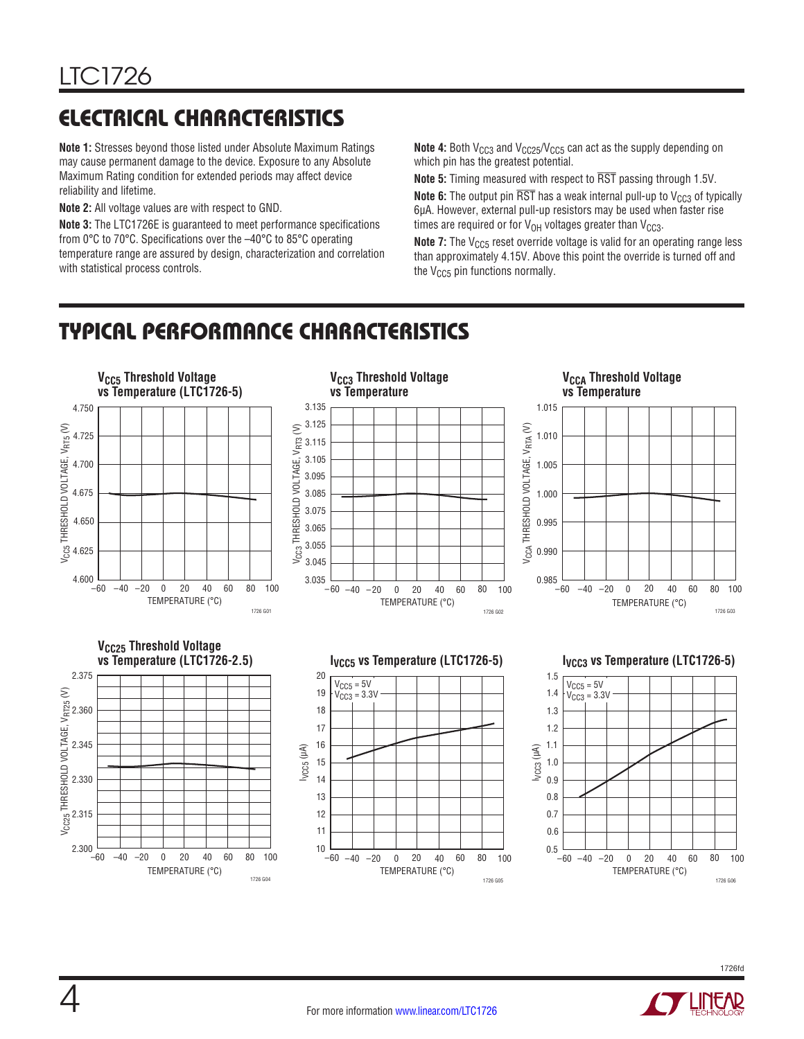# Electrical Characteristics

**Note 1:** Stresses beyond those listed under Absolute Maximum Ratings may cause permanent damage to the device. Exposure to any Absolute Maximum Rating condition for extended periods may affect device reliability and lifetime.

**Note 2:** All voltage values are with respect to GND.

**Note 3:** The LTC1726E is guaranteed to meet performance specifications from 0°C to 70°C. Specifications over the –40°C to 85°C operating temperature range are assured by design, characterization and correlation with statistical process controls.

**Note 4:** Both  $V_{CC3}$  and  $V_{CC25}/V_{CC5}$  can act as the supply depending on which pin has the greatest potential.

**Note 5:** Timing measured with respect to RST passing through 1.5V.

**Note 6:** The output pin  $\overline{RST}$  has a weak internal pull-up to  $V_{CC3}$  of typically 6µA. However, external pull-up resistors may be used when faster rise times are required or for  $V_{OH}$  voltages greater than  $V_{CG3}$ .

**Note 7:** The V<sub>CC5</sub> reset override voltage is valid for an operating range less than approximately 4.15V. Above this point the override is turned off and the  $V_{CC5}$  pin functions normally.

### Typical Performance Characteristics





1726fd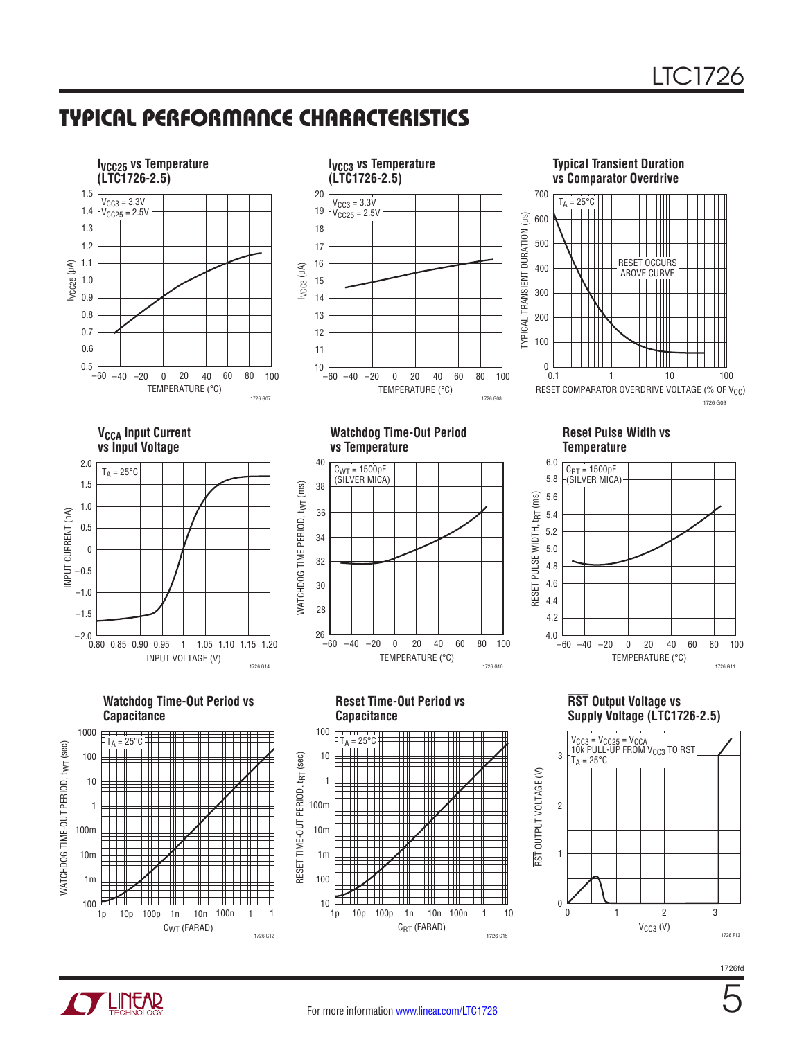### Typical Performance Characteristics







**VCCA Input Current vs Input Voltage**



**Watchdog Time-Out Period vs Capacitance**



**Watchdog Time-Out Period vs Temperature**



**Reset Time-Out Period vs Capacitance**



**Reset Pulse Width vs Temperature**



**RST Output Voltage vs Supply Voltage (LTC1726-2.5)** 



1726fd

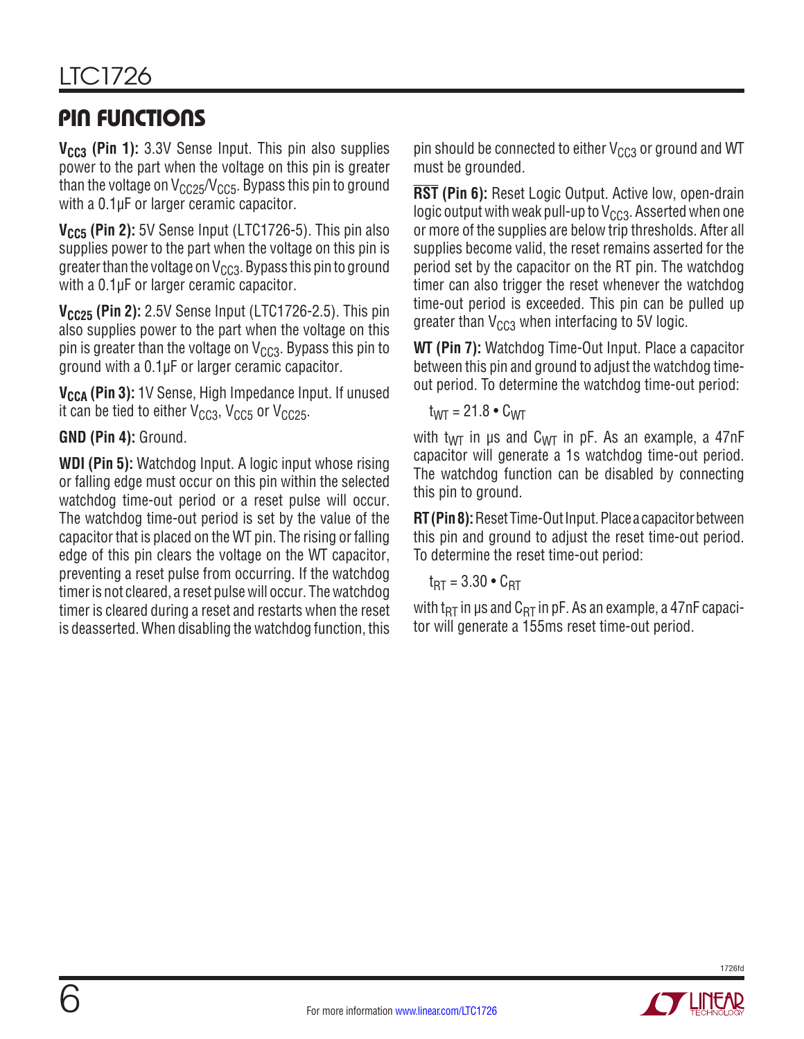### Pin Functions

**V<sub>CC3</sub>** (Pin 1): 3.3V Sense Input. This pin also supplies power to the part when the voltage on this pin is greater than the voltage on  $V_{CC25}/V_{CC5}$ . Bypass this pin to ground with a 0.1<sub>u</sub>F or larger ceramic capacitor.

V<sub>CC5</sub> (Pin 2): 5V Sense Input (LTC1726-5). This pin also supplies power to the part when the voltage on this pin is greater than the voltage on  $V_{CCS}$ . Bypass this pin to ground with a 0.1µF or larger ceramic capacitor.

**V<sub>CC25</sub> (Pin 2):** 2.5V Sense Input (LTC1726-2.5). This pin also supplies power to the part when the voltage on this pin is greater than the voltage on  $V_{CG3}$ . Bypass this pin to ground with a 0.1µF or larger ceramic capacitor.

**V<sub>CCA</sub>** (Pin 3): 1V Sense, High Impedance Input. If unused it can be tied to either  $V_{CC3}$ ,  $V_{CC5}$  or  $V_{CC25}$ .

### **GND (Pin 4):** Ground.

**WDI (Pin 5):** Watchdog Input. A logic input whose rising or falling edge must occur on this pin within the selected watchdog time-out period or a reset pulse will occur. The watchdog time-out period is set by the value of the capacitor that is placed on the WT pin. The rising or falling edge of this pin clears the voltage on the WT capacitor, preventing a reset pulse from occurring. If the watchdog timer is not cleared, a reset pulse will occur. The watchdog timer is cleared during a reset and restarts when the reset is deasserted. When disabling the watchdog function, this pin should be connected to either  $V_{CC3}$  or ground and WT must be grounded.

**RST (Pin 6):** Reset Logic Output. Active low, open-drain logic output with weak pull-up to  $V_{CC3}$ . Asserted when one or more of the supplies are below trip thresholds. After all supplies become valid, the reset remains asserted for the period set by the capacitor on the RT pin. The watchdog timer can also trigger the reset whenever the watchdog time-out period is exceeded. This pin can be pulled up greater than  $V_{CG3}$  when interfacing to 5V logic.

**WT (Pin 7):** Watchdog Time-Out Input. Place a capacitor between this pin and ground to adjust the watchdog timeout period. To determine the watchdog time-out period:

$$
t_{WT} = 21.8 \cdot C_{WT}
$$

with t<sub>WT</sub> in us and C<sub>WT</sub> in pF. As an example, a 47nF capacitor will generate a 1s watchdog time-out period. The watchdog function can be disabled by connecting this pin to ground.

**RT (Pin 8):** Reset Time-Out Input. Place a capacitor between this pin and ground to adjust the reset time-out period. To determine the reset time-out period:

$$
t_{\text{RT}} = 3.30 \cdot C_{\text{RT}}
$$

with t<sub>RT</sub> in us and  $C_{RT}$  in pF. As an example, a 47nF capacitor will generate a 155ms reset time-out period.



1726fd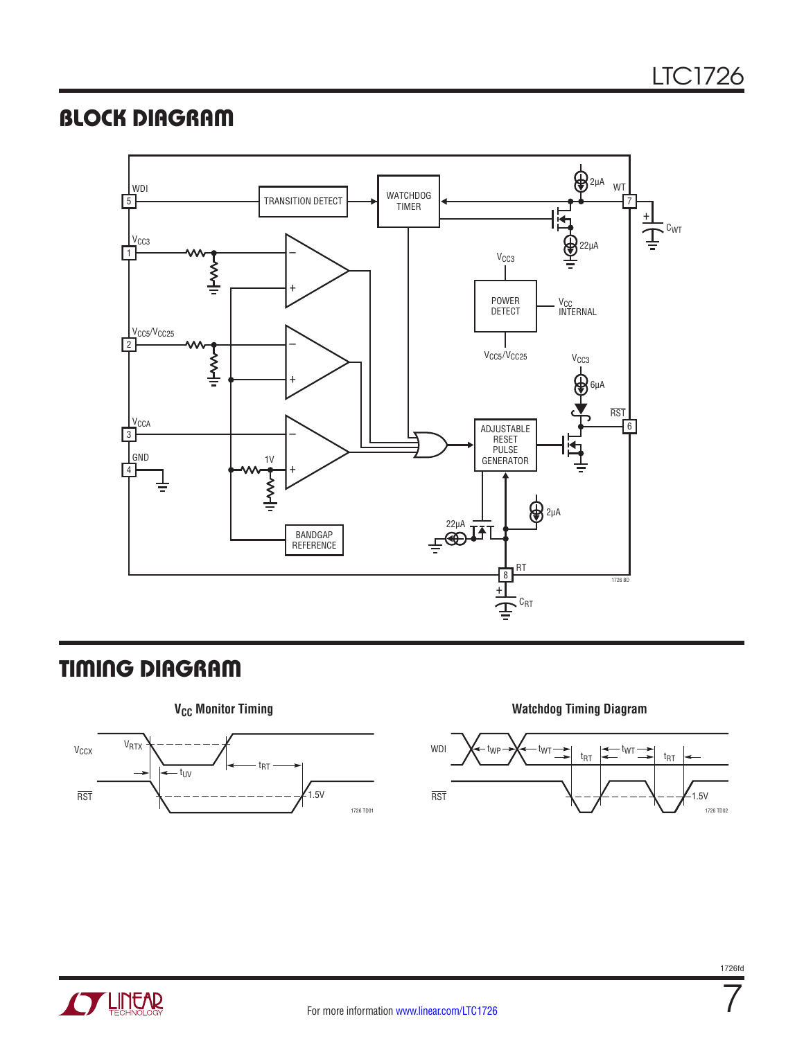### **BLOCK DIAGRAM**



### Timing Diagram





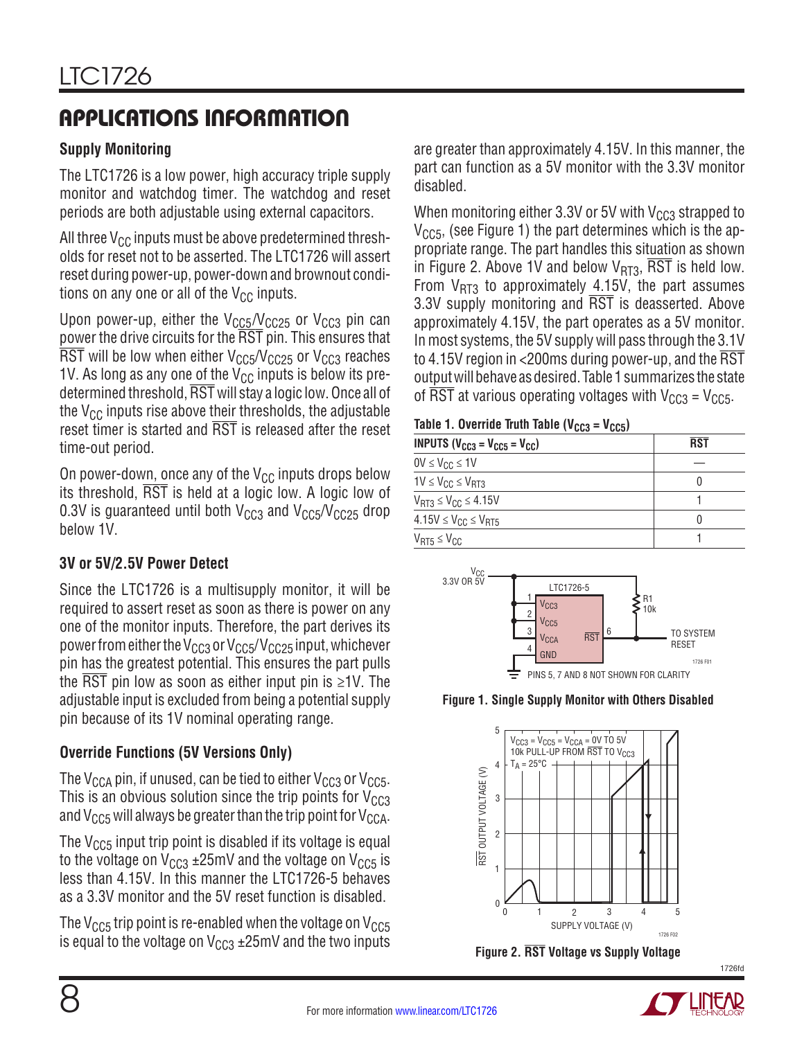# Applications Information

### **Supply Monitoring**

The LTC1726 is a low power, high accuracy triple supply monitor and watchdog timer. The watchdog and reset periods are both adjustable using external capacitors.

All three  $V_{CC}$  inputs must be above predetermined thresholds for reset not to be asserted. The LTC1726 will assert reset during power-up, power-down and brownout conditions on any one or all of the  $V_{CC}$  inputs.

Upon power-up, either the  $V<sub>CC5</sub>/V<sub>CC25</sub>$  or  $V<sub>CC3</sub>$  pin can power the drive circuits for the RST pin. This ensures that  $\overline{\text{RST}}$  will be low when either V<sub>CC5</sub>/V<sub>CC25</sub> or V<sub>CC3</sub> reaches 1V. As long as any one of the  $V_{CC}$  inputs is below its predetermined threshold, RST will stay a logic low. Once all of the  $V_{CC}$  inputs rise above their thresholds, the adjustable reset timer is started and RST is released after the reset time-out period.

On power-down, once any of the  $V_{CC}$  inputs drops below its threshold,  $\overline{\text{RST}}$  is held at a logic low. A logic low of 0.3V is guaranteed until both  $V_{CC3}$  and  $V_{CC5}/V_{CC25}$  drop below 1V.

### **3V or 5V/2.5V Power Detect**

Since the LTC1726 is a multisupply monitor, it will be required to assert reset as soon as there is power on any one of the monitor inputs. Therefore, the part derives its power from either the V<sub>CC3</sub> or V<sub>CC5</sub>/V<sub>CC25</sub> input, whichever pin has the greatest potential. This ensures the part pulls the RST pin low as soon as either input pin is  $\geq 1$ V. The adjustable input is excluded from being a potential supply pin because of its 1V nominal operating range.

### **Override Functions (5V Versions Only)**

The  $V_{CGA}$  pin, if unused, can be tied to either  $V_{CG3}$  or  $V_{CG5}$ . This is an obvious solution since the trip points for  $V_{CC3}$ and  $V_{CC5}$  will always be greater than the trip point for  $V_{CCA}$ .

The  $V_{CC5}$  input trip point is disabled if its voltage is equal to the voltage on  $V_{CC3}$  ±25mV and the voltage on  $V_{CC5}$  is less than 4.15V. In this manner the LTC1726-5 behaves as a 3.3V monitor and the 5V reset function is disabled.

The  $V_{CC5}$  trip point is re-enabled when the voltage on  $V_{CC5}$ is equal to the voltage on  $V_{CC3}$  ±25mV and the two inputs are greater than approximately 4.15V. In this manner, the part can function as a 5V monitor with the 3.3V monitor disabled.

When monitoring either 3.3V or 5V with  $V_{CC3}$  strapped to  $V<sub>CCS</sub>$ , (see Figure 1) the part determines which is the appropriate range. The part handles this situation as shown in Figure 2. Above 1V and below  $V_{BT3}$ ,  $\overline{RST}$  is held low. From  $V_{RT3}$  to approximately 4.15V, the part assumes 3.3V supply monitoring and RST is deasserted. Above approximately 4.15V, the part operates as a 5V monitor. In most systems, the 5V supply will pass through the 3.1V to 4.15V region in <200ms during power-up, and the RST outputwillbehave asdesired. Table 1 summarizes the state of  $\overline{\text{RST}}$  at various operating voltages with  $V_{CC3} = V_{CC5}$ .

Table 1. Override Truth Table ( $V<sub>CC3</sub> = V<sub>CC5</sub>$ )

| <b>INPUTS (V<sub>CC3</sub> = V<sub>CC5</sub> = V<sub>CC</sub>)</b> | RST |
|--------------------------------------------------------------------|-----|
| $0V \leq V_{CC} \leq 1V$                                           |     |
| $1V \leq V_{CC} \leq V_{RT3}$                                      |     |
| $V_{RT3} \leq V_{CC} \leq 4.15V$                                   |     |
| $4.15V \leq V_{CC} \leq V_{RT5}$                                   | O   |
| $V_{RT5} \leq V_{CC}$                                              |     |



**Figure 1. Single Supply Monitor with Others Disabled**







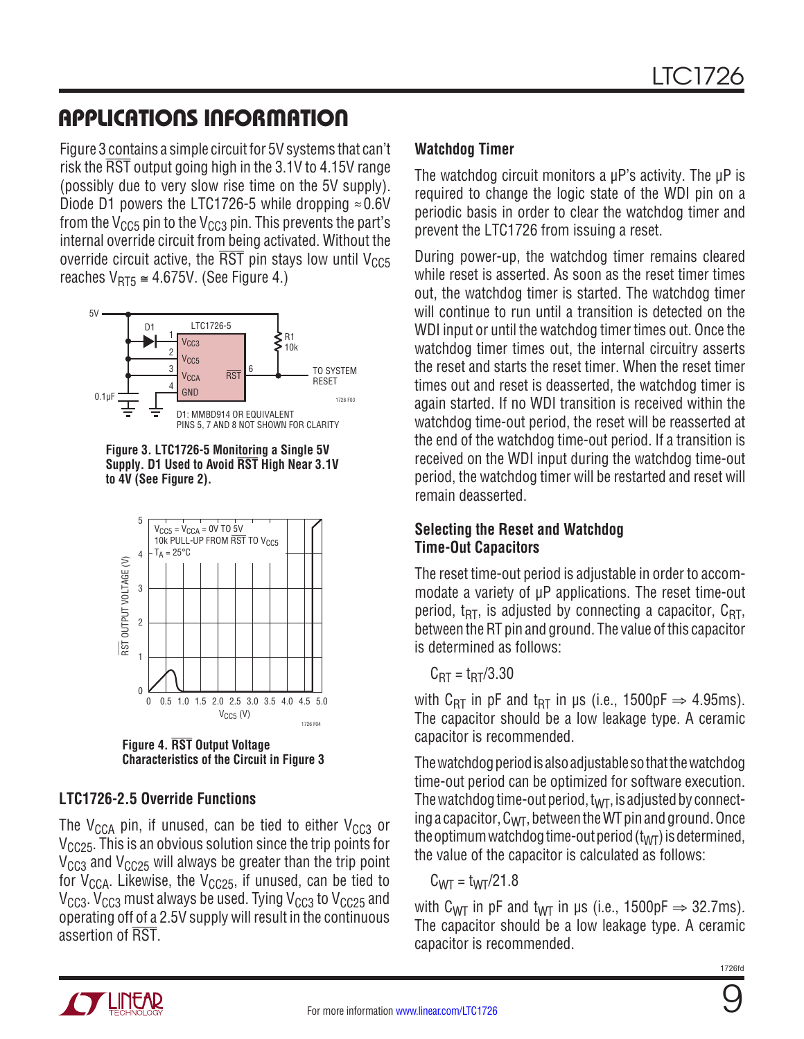### Applications Information

Figure 3 contains a simple circuit for 5V systems that can't risk the RST output going high in the 3.1V to 4.15V range (possibly due to very slow rise time on the 5V supply). Diode D1 powers the LTC1726-5 while dropping  $\approx 0.6$ V from the  $V_{CC5}$  pin to the  $V_{CC3}$  pin. This prevents the part's internal override circuit from being activated. Without the override circuit active, the  $\overline{\text{RST}}$  pin stays low until V<sub>CC5</sub> reaches  $V_{RT5} \approx 4.675V$ . (See Figure 4.)







**Figure 4. RST Output Voltage Characteristics of the Circuit in Figure 3**

#### **LTC1726-2.5 Override Functions**

The  $V_{CCA}$  pin, if unused, can be tied to either  $V_{CC3}$  or  $V<sub>CC25</sub>$ . This is an obvious solution since the trip points for  $V_{CC3}$  and  $V_{CC25}$  will always be greater than the trip point for  $V_{CCA}$ . Likewise, the  $V_{C C25}$ , if unused, can be tied to  $V_{CC3}$ .  $V_{CC3}$  must always be used. Tying  $V_{CC3}$  to  $V_{CC25}$  and operating off of a 2.5V supply will result in the continuous assertion of RST.

#### **Watchdog Timer**

The watchdog circuit monitors a uP's activity. The uP is required to change the logic state of the WDI pin on a periodic basis in order to clear the watchdog timer and prevent the LTC1726 from issuing a reset.

During power-up, the watchdog timer remains cleared while reset is asserted. As soon as the reset timer times out, the watchdog timer is started. The watchdog timer will continue to run until a transition is detected on the WDI input or until the watchdog timer times out. Once the watchdog timer times out, the internal circuitry asserts the reset and starts the reset timer. When the reset timer times out and reset is deasserted, the watchdog timer is again started. If no WDI transition is received within the watchdog time-out period, the reset will be reasserted at the end of the watchdog time-out period. If a transition is received on the WDI input during the watchdog time-out period, the watchdog timer will be restarted and reset will remain deasserted.

#### **Selecting the Reset and Watchdog Time-Out Capacitors**

The reset time-out period is adjustable in order to accommodate a variety of µP applications. The reset time-out period,  $t_{RT}$ , is adjusted by connecting a capacitor,  $C_{RT}$ , between the RT pin and ground. The value of this capacitor is determined as follows:

 $C_{\text{RT}} = \frac{t_{\text{RT}}}{3.30}$ 

with C<sub>RT</sub> in pF and t<sub>RT</sub> in µs (i.e., 1500pF  $\Rightarrow$  4.95ms). The capacitor should be a low leakage type. A ceramic capacitor is recommended.

The watchdog period is also adjustable so that the watchdog time-out period can be optimized for software execution. The watchdog time-out period,  $t_{WT}$ , is adjusted by connecting a capacitor,  $C_{\text{WT}}$ , between the WT pin and ground. Once the optimum watchdog time-out period  $(t_{\text{WT}})$  is determined, the value of the capacitor is calculated as follows:

$$
C_{WT} = t_{WT}/21.8
$$

with C<sub>WT</sub> in pF and t<sub>WT</sub> in µs (i.e., 1500pF  $\Rightarrow$  32.7ms). The capacitor should be a low leakage type. A ceramic capacitor is recommended.



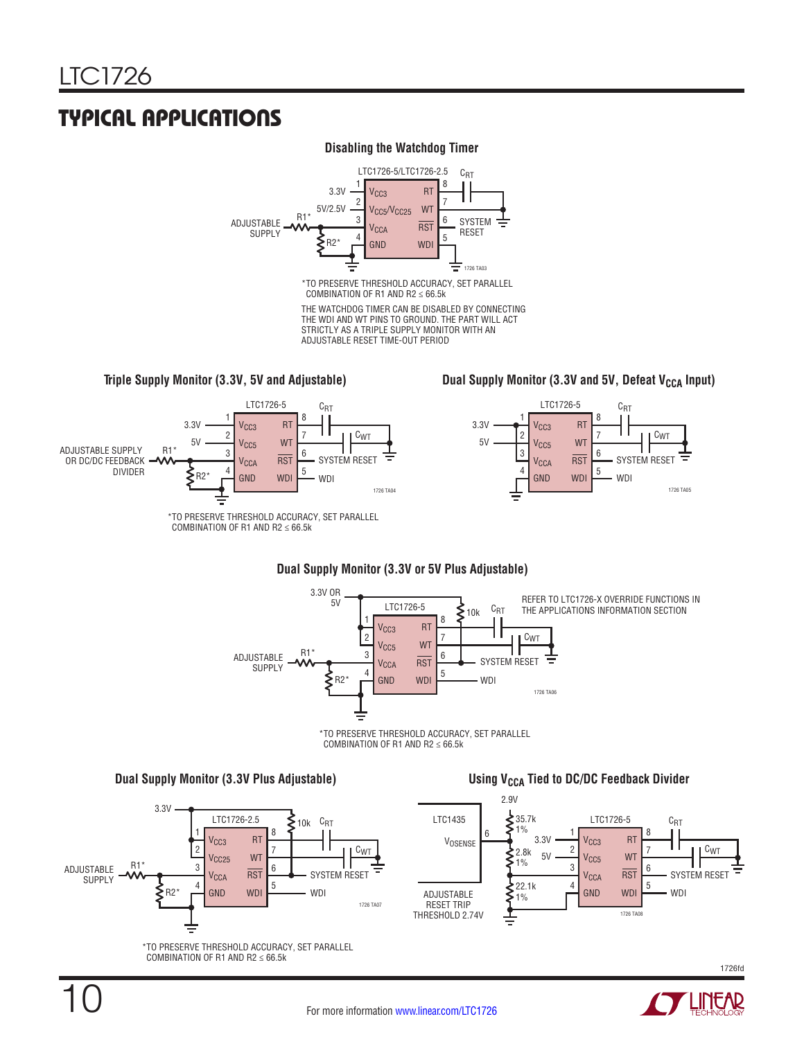### Typical Applications

#### **Disabling the Watchdog Timer**



THE WATCHDOG TIMER CAN BE DISABLED BY CONNECTING THE WDI AND WT PINS TO GROUND. THE PART WILL ACT STRICTLY AS A TRIPLE SUPPLY MONITOR WITH AN ADJUSTABLE RESET TIME-OUT PERIOD

**Triple Supply Monitor (3.3V, 5V and Adjustable) Dual Supply Monitor (3.3V and 5V, Defeat V<sub>CCA</sub> Input)** 



#### **Dual Supply Monitor (3.3V or 5V Plus Adjustable)**







1726fd



1726 TA05

Ξ

CWT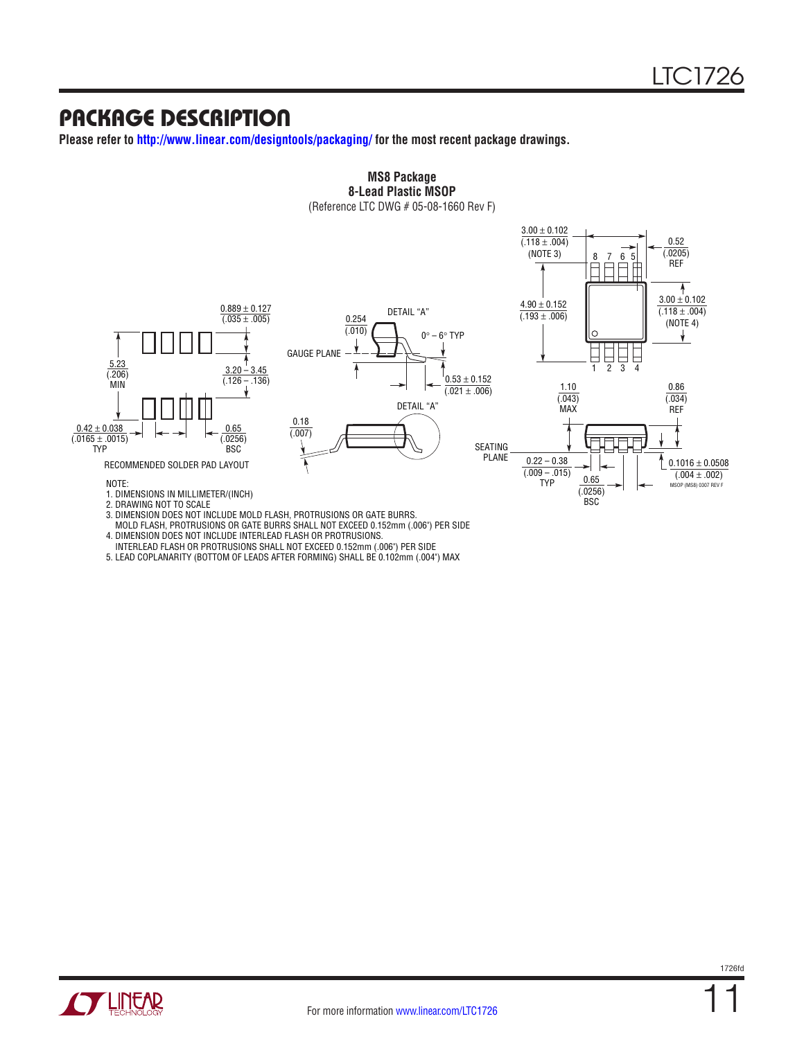### Package Description

**Please refer to http://www.linear.com/designtools/packaging/ for the most recent package drawings.**



# **MS8 Package**

3. DIMENSION DOES NOT INCLUDE MOLD FLASH, PROTRUSIONS OR GATE BURRS. MOLD FLASH, PROTRUSIONS OR GATE BURRS SHALL NOT EXCEED 0.152mm (.006") PER SIDE 4. DIMENSION DOES NOT INCLUDE INTERLEAD FLASH OR PROTRUSIONS.

- INTERLEAD FLASH OR PROTRUSIONS SHALL NOT EXCEED 0.152mm (.006") PER SIDE
- 5. LEAD COPLANARITY (BOTTOM OF LEADS AFTER FORMING) SHALL BE 0.102mm (.004") MAX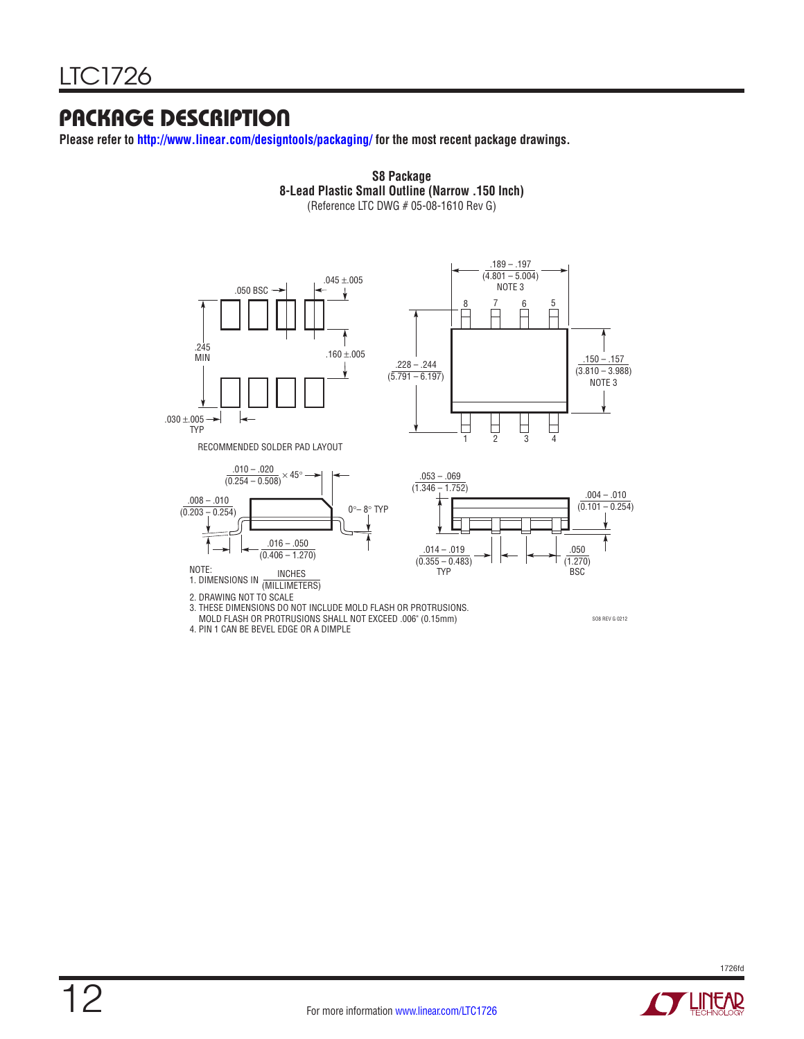### Package Description

**Please refer to http://www.linear.com/designtools/packaging/ for the most recent package drawings.**



**S8 Package 8-Lead Plastic Small Outline (Narrow .150 Inch) S8 Package**

4. PIN 1 CAN BE BEVEL EDGE OR A DIMPLE



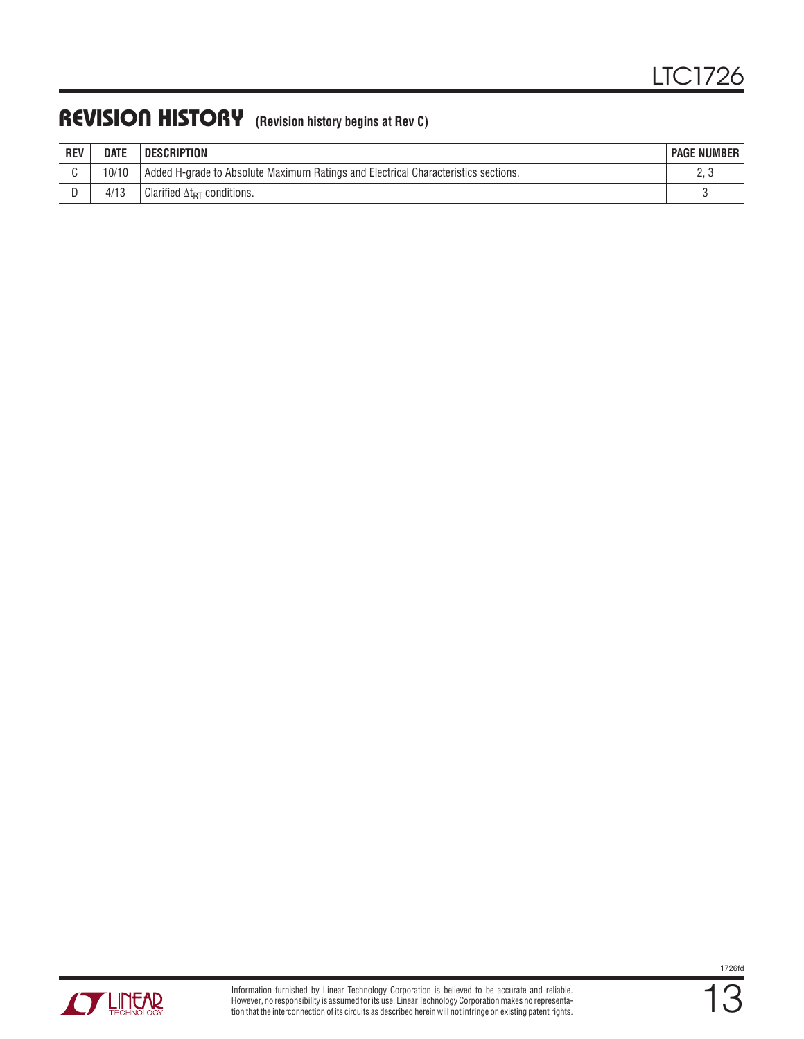### REVISION HISTORY (Revision history begins at Rev C)

| <b>REV</b> | <b>DATE</b> | <b>DESCRIPTION</b>                                                                 | <b>PAGE NUMBER</b> |
|------------|-------------|------------------------------------------------------------------------------------|--------------------|
|            |             | Added H-grade to Absolute Maximum Ratings and Electrical Characteristics sections. |                    |
|            | 4/13        | Clarified $\Delta t_{\texttt{RT}}$ conditions.                                     |                    |